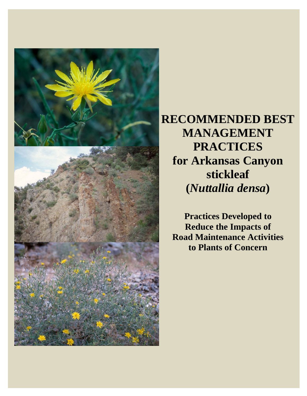

**RECOMMENDED BEST MANAGEMENT PRACTICES for Arkansas Canyon stickleaf (***Nuttallia densa***)** 

**Practices Developed to Reduce the Impacts of Road Maintenance Activities to Plants of Concern**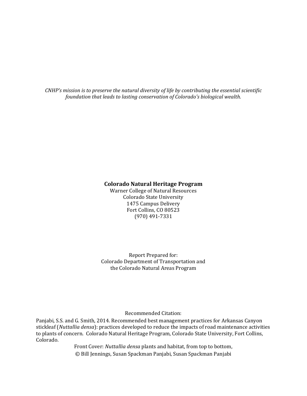*CNHP's mission is to preserve the natural diversity of life by contributing the essential scientific foundation that leads to lasting conservation of Colorado's biological wealth.*

#### **Colorado Natural Heritage Program**

Warner College of Natural Resources Colorado State University 1475 Campus Delivery Fort Collins, CO 80523 (970) 491‐7331 

Report Prepared for: Colorado Department of Transportation and the Colorado Natural Areas Program

Recommended Citation: 

Panjabi, S.S. and G. Smith, 2014. Recommended best management practices for Arkansas Canyon stickleaf (*Nuttallia densa*): practices developed to reduce the impacts of road maintenance activities to plants of concern. Colorado Natural Heritage Program, Colorado State University, Fort Collins, Colorado. 

> Front Cover: *Nuttallia densa* plants and habitat, from top to bottom, © Bill Jennings, Susan Spackman Panjabi, Susan Spackman Panjabi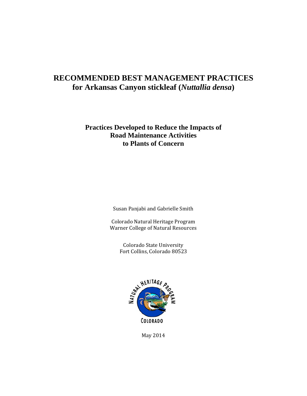## **RECOMMENDED BEST MANAGEMENT PRACTICES for Arkansas Canyon stickleaf (***Nuttallia densa***)**

## **Practices Developed to Reduce the Impacts of Road Maintenance Activities to Plants of Concern**

Susan Panjabi and Gabrielle Smith

Colorado Natural Heritage Program Warner College of Natural Resources

> Colorado State University Fort Collins, Colorado 80523



May 2014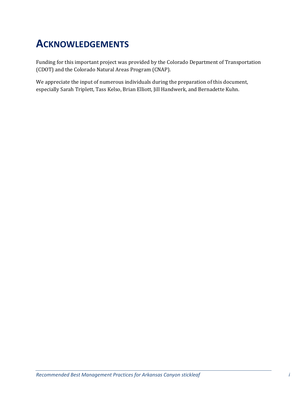## **ACKNOWLEDGEMENTS**

Funding for this important project was provided by the Colorado Department of Transportation (CDOT) and the Colorado Natural Areas Program (CNAP).

We appreciate the input of numerous individuals during the preparation of this document, especially Sarah Triplett, Tass Kelso, Brian Elliott, Jill Handwerk, and Bernadette Kuhn.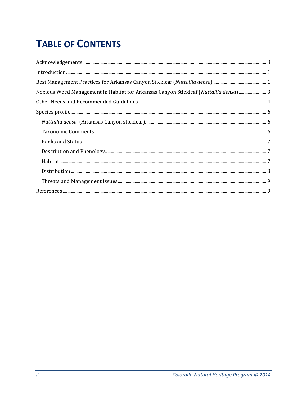# **TABLE OF CONTENTS**

| ${\bf Acknowledgements\,\,}\ldots\,\,}\ldots\,\,}\ldots\,\,}\ldots\,\,}\ldots\,\,}\ldots\,\,}\ldots\,\,}\ldots\,\,}\ldots\,\,}\ldots\,\,}\ldots\,\,}\m_1\,\,}\m_1\,\,}\m_2\,\,}\m_3\,\,}\m_4\,\,}\m_4\,\,}\m_1\,\,}\m_1\,\,}\m_1\,\,}\m_1\,\,}\m_1\,\,}\m_1\,\,}\m_1\,\,}\m_1\,\,}\m_1\,\,}\m_1\,\,}\m_1\,\,}\m_1\,\,}\m_1\,\,}\m_1\,\,}\m_1\,\$ |  |
|--------------------------------------------------------------------------------------------------------------------------------------------------------------------------------------------------------------------------------------------------------------------------------------------------------------------------------------------------|--|
|                                                                                                                                                                                                                                                                                                                                                  |  |
|                                                                                                                                                                                                                                                                                                                                                  |  |
| Noxious Weed Management in Habitat for Arkansas Canyon Stickleaf (Nuttallia densa) 3                                                                                                                                                                                                                                                             |  |
|                                                                                                                                                                                                                                                                                                                                                  |  |
|                                                                                                                                                                                                                                                                                                                                                  |  |
|                                                                                                                                                                                                                                                                                                                                                  |  |
|                                                                                                                                                                                                                                                                                                                                                  |  |
|                                                                                                                                                                                                                                                                                                                                                  |  |
|                                                                                                                                                                                                                                                                                                                                                  |  |
|                                                                                                                                                                                                                                                                                                                                                  |  |
|                                                                                                                                                                                                                                                                                                                                                  |  |
|                                                                                                                                                                                                                                                                                                                                                  |  |
|                                                                                                                                                                                                                                                                                                                                                  |  |
|                                                                                                                                                                                                                                                                                                                                                  |  |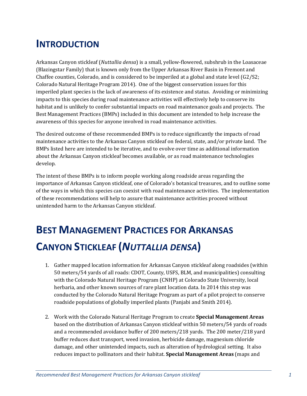## **INTRODUCTION**

Arkansas Canyon stickleaf (*Nuttallia densa*) is a small, yellow-flowered, subshrub in the Loasaceae (Blazingstar Family) that is known only from the Upper Arkansas River Basin in Fremont and Chaffee counties, Colorado, and is considered to be imperiled at a global and state level  $(G2/S2;$ Colorado Natural Heritage Program 2014). One of the biggest conservation issues for this imperiled plant species is the lack of awareness of its existence and status. Avoiding or minimizing impacts to this species during road maintenance activities will effectively help to conserve its habitat and is unlikely to confer substantial impacts on road maintenance goals and projects. The Best Management Practices (BMPs) included in this document are intended to help increase the awareness of this species for anyone involved in road maintenance activities.

The desired outcome of these recommended BMPs is to reduce significantly the impacts of road maintenance activities to the Arkansas Canyon stickleaf on federal, state, and/or private land. The BMPs listed here are intended to be iterative, and to evolve over time as additional information about the Arkansas Canyon stickleaf becomes available, or as road maintenance technologies develop. 

The intent of these BMPs is to inform people working along roadside areas regarding the importance of Arkansas Canyon stickleaf, one of Colorado's botanical treasures, and to outline some of the ways in which this species can coexist with road maintenance activities. The implementation of these recommendations will help to assure that maintenance activities proceed without unintended harm to the Arkansas Canyon stickleaf.

# **BEST MANAGEMENT PRACTICES FOR ARKANSAS CANYON STICKLEAF (***NUTTALLIA DENSA***)**

- 1. Gather mapped location information for Arkansas Canyon stickleaf along roadsides (within 50 meters/54 yards of all roads: CDOT, County, USFS, BLM, and municipalities) consulting with the Colorado Natural Heritage Program (CNHP) at Colorado State University, local herbaria, and other known sources of rare plant location data. In 2014 this step was conducted by the Colorado Natural Heritage Program as part of a pilot project to conserve roadside populations of globally imperiled plants (Panjabi and Smith 2014).
- 2. Work with the Colorado Natural Heritage Program to create **Special Management Areas** based on the distribution of Arkansas Canyon stickleaf within 50 meters/54 yards of roads and a recommended avoidance buffer of 200 meters/218 yards. The 200 meter/218 yard buffer reduces dust transport, weed invasion, herbicide damage, magnesium chloride damage, and other unintended impacts, such as alteration of hydrological setting. It also reduces impact to pollinators and their habitat. **Special Management Areas** (maps and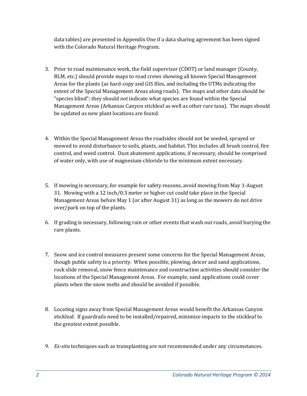data tables) are presented in Appendix One if a data sharing agreement has been signed with the Colorado Natural Heritage Program.

- 3. Prior to road maintenance work, the field supervisor (CDOT) or land manager (County, BLM, etc.) should provide maps to road crews showing all known Special Management Areas for the plants (as hard-copy and GIS files, and including the UTMs indicating the extent of the Special Management Areas along roads). The maps and other data should be "species blind"; they should *not* indicate what species are found within the Special Management Areas (Arkansas Canyon stickleaf as well as other rare taxa). The maps should be updated as new plant locations are found.
- 4. Within the Special Management Areas the roadsides should not be seeded, sprayed or mowed to avoid disturbance to soils, plants, and habitat. This includes all brush control, fire control, and weed control. Dust abatement applications, if necessary, should be comprised of water only, with use of magnesium chloride to the minimum extent necessary.
- 5. If mowing is necessary, for example for safety reasons, avoid mowing from May 1-August 31. Mowing with a 12 inch/0.3 meter or higher cut could take place in the Special Management Areas before May 1 (or after August  $31$ ) as long as the mowers do not drive over/park on top of the plants.
- 6. If grading is necessary, following rain or other events that wash out roads, avoid burying the rare plants.
- 7. Snow and ice control measures present some concerns for the Special Management Areas, though public safety is a priority. When possible, plowing, deicer and sand applications, rock slide removal, snow fence maintenance and construction activities should consider the locations of the Special Management Areas. For example, sand applications could cover plants when the snow melts and should be avoided if possible.
- 8. Locating signs away from Special Management Areas would benefit the Arkansas Canyon stickleaf. If guardrails need to be installed/repaired, minimize impacts to the stickleaf to the greatest extent possible.
- 9. *Ex-situ* techniques such as transplanting are not recommended under any circumstances.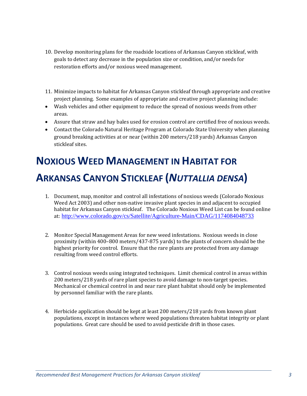- 10. Develop monitoring plans for the roadside locations of Arkansas Canyon stickleaf, with goals to detect any decrease in the population size or condition, and/or needs for restoration efforts and/or noxious weed management.
- 11. Minimize impacts to habitat for Arkansas Canyon stickleaf through appropriate and creative project planning. Some examples of appropriate and creative project planning include:
- Wash vehicles and other equipment to reduce the spread of noxious weeds from other areas.
- Assure that straw and hay bales used for erosion control are certified free of noxious weeds.
- Contact the Colorado Natural Heritage Program at Colorado State University when planning ground breaking activities at or near (within 200 meters/218 yards) Arkansas Canyon stickleaf sites.

# **NOXIOUS WEED MANAGEMENT IN HABITAT FOR ARKANSAS CANYON STICKLEAF (***NUTTALLIA DENSA***)**

- 1. Document, map, monitor and control all infestations of noxious weeds (Colorado Noxious Weed Act 2003) and other non-native invasive plant species in and adjacent to occupied habitat for Arkansas Canyon stickleaf. The Colorado Noxious Weed List can be found online at: http://www.colorado.gov/cs/Satellite/Agriculture-Main/CDAG/1174084048733
- 2. Monitor Special Management Areas for new weed infestations. Noxious weeds in close proximity (within  $400-800$  meters/437-875 yards) to the plants of concern should be the highest priority for control. Ensure that the rare plants are protected from any damage resulting from weed control efforts.
- 3. Control noxious weeds using integrated techniques. Limit chemical control in areas within 200 meters/218 yards of rare plant species to avoid damage to non-target species. Mechanical or chemical control in and near rare plant habitat should only be implemented by personnel familiar with the rare plants.
- 4. Herbicide application should be kept at least 200 meters/218 yards from known plant populations, except in instances where weed populations threaten habitat integrity or plant populations. Great care should be used to avoid pesticide drift in those cases.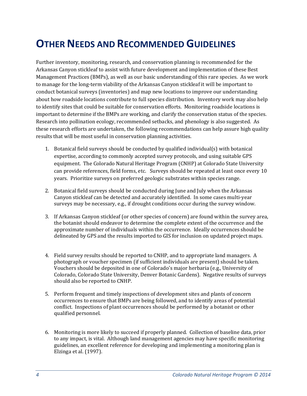## **OTHER NEEDS AND RECOMMENDED GUIDELINES**

Further inventory, monitoring, research, and conservation planning is recommended for the Arkansas Canyon stickleaf to assist with future development and implementation of these Best Management Practices (BMPs), as well as our basic understanding of this rare species. As we work to manage for the long-term viability of the Arkansas Canyon stickleaf it will be important to conduct botanical surveys (inventories) and map new locations to improve our understanding about how roadside locations contribute to full species distribution. Inventory work may also help to identify sites that could be suitable for conservation efforts. Monitoring roadside locations is important to determine if the BMPs are working, and clarify the conservation status of the species. Research into pollination ecology, recommended setbacks, and phenology is also suggested. As these research efforts are undertaken, the following recommendations can help assure high quality results that will be most useful in conservation planning activities.

- 1. Botanical field surveys should be conducted by qualified individual(s) with botanical expertise, according to commonly accepted survey protocols, and using suitable GPS equipment. The Colorado Natural Heritage Program (CNHP) at Colorado State University can provide references, field forms, etc. Surveys should be repeated at least once every 10 years. Prioritize surveys on preferred geologic substrates within species range.
- 2. Botanical field surveys should be conducted during June and July when the Arkansas Canyon stickleaf can be detected and accurately identified. In some cases multi-year surveys may be necessary, e.g., if drought conditions occur during the survey window.
- 3. If Arkansas Canyon stickleaf (or other species of concern) are found within the survey area, the botanist should endeavor to determine the complete extent of the occurrence and the approximate number of individuals within the occurrence. Ideally occurrences should be delineated by GPS and the results imported to GIS for inclusion on updated project maps.
- 4. Field survey results should be reported to CNHP, and to appropriate land managers. A photograph or voucher specimen (if sufficient individuals are present) should be taken. Vouchers should be deposited in one of Colorado's major herbaria (e.g., University of Colorado, Colorado State University, Denver Botanic Gardens). Negative results of surveys should also be reported to CNHP.
- 5. Perform frequent and timely inspections of development sites and plants of concern occurrences to ensure that BMPs are being followed, and to identify areas of potential conflict. Inspections of plant occurrences should be performed by a botanist or other qualified personnel.
- 6. Monitoring is more likely to succeed if properly planned. Collection of baseline data, prior to any impact, is vital. Although land management agencies may have specific monitoring guidelines, an excellent reference for developing and implementing a monitoring plan is Elzinga et al. (1997).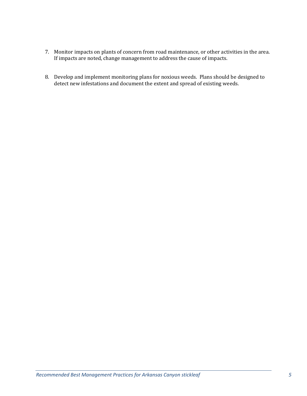- 7. Monitor impacts on plants of concern from road maintenance, or other activities in the area. If impacts are noted, change management to address the cause of impacts.
- 8. Develop and implement monitoring plans for noxious weeds. Plans should be designed to detect new infestations and document the extent and spread of existing weeds.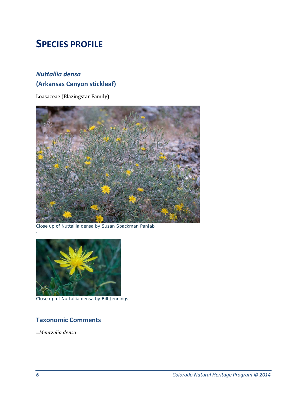## **SPECIES PROFILE**

## *Nuttallia densa* **(Arkansas Canyon stickleaf)**

Loasaceae (Blazingstar Family)



Close up of *Nuttallia densa* by Susan Spackman Panjabi



Close up of *Nuttallia densa* by Bill Jennings

## **Taxonomic Comments**

=*Mentzelia densa*

.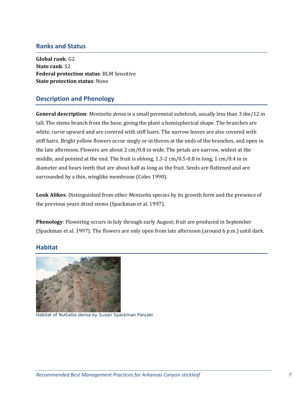### **Ranks and Status**

**Global rank**: G2 **State rank**: S2 **Federal protection status**: BLM Sensitive **State protection status**: None 

### **Description and Phenology**

**General description**: *Mentzelia densa* is a small perennial subshrub, usually less than 3 dm/12 in tall. The stems branch from the base, giving the plant a hemispherical shape. The branches are white, curve upward and are covered with stiff hairs. The narrow leaves are also covered with stiff hairs. Bright yellow flowers occur singly or in threes at the ends of the branches, and open in the late afternoon. Flowers are about  $2 \text{ cm}/0.8$  in wide. The petals are narrow, widest at the middle, and pointed at the end. The fruit is oblong,  $1.3-2$  cm/0.5 $-0.8$  in long,  $1 \text{ cm}/0.4$  in in diameter and bears teeth that are about half as long as the fruit. Seeds are flattened and are surrounded by a thin, winglike membrane (Coles 1990).

Look Alikes: Distinguished from other *Mentzelia* species by its growth form and the presence of the previous years dried stems (Spackman et al. 1997).

**Phenology**: Flowering occurs in July through early August; fruit are produced in September (Spackman et al. 1997). The flowers are only open from late afternoon (around 6 p.m.) until dark.

### **Habitat**



Habitat of *Nuttallia densa* by Susan Spackman Panjabi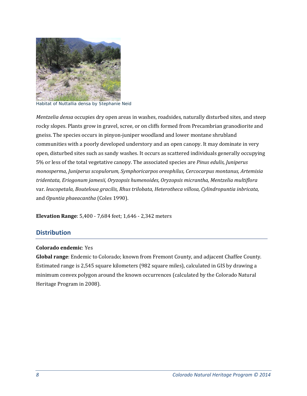

Habitat of *Nuttallia densa* by Stephanie Neid

*Mentzelia densa* occupies dry open areas in washes, roadsides, naturally disturbed sites, and steep rocky slopes. Plants grow in gravel, scree, or on cliffs formed from Precambrian granodiorite and gneiss. The species occurs in pinyon-juniper woodland and lower montane shrubland communities with a poorly developed understory and an open canopy. It may dominate in very open, disturbed sites such as sandy washes. It occurs as scattered individuals generally occupying 5% or less of the total vegetative canopy. The associated species are *Pinus edulis, Juniperus monosperma, Juniperus scopulorum, Symphoricarpos oreophilus, Cercocarpus montanus, Artemisia tridentata, Eriogonum jamesii, Oryzopsis humenoides, Oryzopsis micrantha, Mentzelia multiflora* var. *leucopetala, Bouteloua gracilis, Rhus trilobata, Heterotheca villosa, Cylindropuntia inbricata,* and *Opuntia phaeacantha* (Coles 1990).

**Elevation Range:** 5,400 - 7,684 feet; 1,646 - 2,342 meters

### **Distribution**

#### **Colorado endemic**: Yes

**Global range**: Endemic to Colorado; known from Fremont County, and adjacent Chaffee County. Estimated range is 2,545 square kilometers (982 square miles), calculated in GIS by drawing a minimum convex polygon around the known occurrences (calculated by the Colorado Natural Heritage Program in 2008).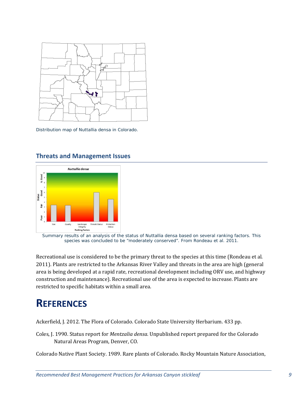

Distribution map of *Nuttallia densa* in Colorado.



### **Threats and Management Issues**

Summary results of an analysis of the status of *Nuttallia densa* based on several ranking factors. This species was concluded to be "moderately conserved". From Rondeau et al. 2011.

Recreational use is considered to be the primary threat to the species at this time (Rondeau et al. 2011). Plants are restricted to the Arkansas River Valley and threats in the area are high (general area is being developed at a rapid rate, recreational development including ORV use, and highway construction and maintenance). Recreational use of the area is expected to increase. Plants are restricted to specific habitats within a small area.

## **REFERENCES**

Ackerfield, J. 2012. The Flora of Colorado. Colorado State University Herbarium. 433 pp.

Coles, J. 1990. Status report for *Mentzalia densa*. Unpublished report prepared for the Colorado Natural Areas Program, Denver, CO.

Colorado Native Plant Society. 1989. Rare plants of Colorado. Rocky Mountain Nature Association,